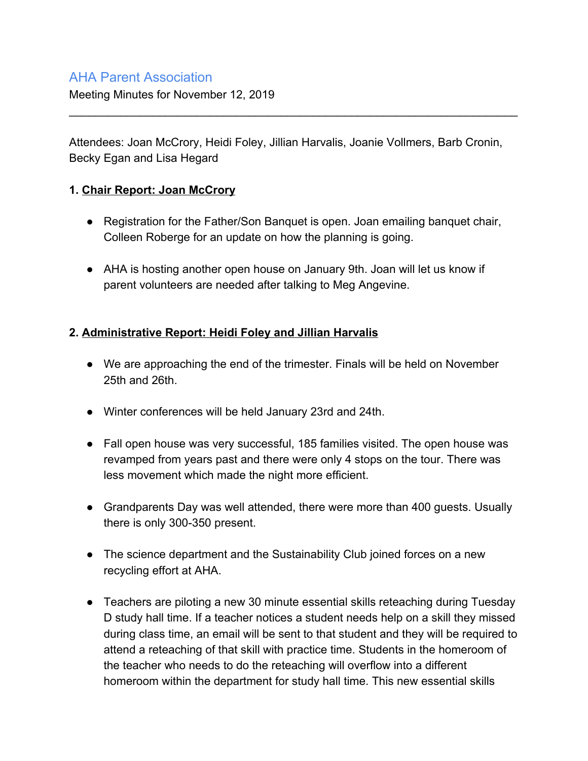## AHA Parent Association

Meeting Minutes for November 12, 2019

Attendees: Joan McCrory, Heidi Foley, Jillian Harvalis, Joanie Vollmers, Barb Cronin, Becky Egan and Lisa Hegard

\_\_\_\_\_\_\_\_\_\_\_\_\_\_\_\_\_\_\_\_\_\_\_\_\_\_\_\_\_\_\_\_\_\_\_\_\_\_\_\_\_\_\_\_\_\_\_\_\_\_\_\_\_\_\_\_\_\_\_\_\_\_\_\_\_\_\_\_\_\_

#### **1. Chair Report: Joan McCrory**

- Registration for the Father/Son Banquet is open. Joan emailing banquet chair, Colleen Roberge for an update on how the planning is going.
- AHA is hosting another open house on January 9th. Joan will let us know if parent volunteers are needed after talking to Meg Angevine.

#### **2. Administrative Report: Heidi Foley and Jillian Harvalis**

- We are approaching the end of the trimester. Finals will be held on November 25th and 26th.
- Winter conferences will be held January 23rd and 24th.
- Fall open house was very successful, 185 families visited. The open house was revamped from years past and there were only 4 stops on the tour. There was less movement which made the night more efficient.
- Grandparents Day was well attended, there were more than 400 guests. Usually there is only 300-350 present.
- The science department and the Sustainability Club joined forces on a new recycling effort at AHA.
- Teachers are piloting a new 30 minute essential skills reteaching during Tuesday D study hall time. If a teacher notices a student needs help on a skill they missed during class time, an email will be sent to that student and they will be required to attend a reteaching of that skill with practice time. Students in the homeroom of the teacher who needs to do the reteaching will overflow into a different homeroom within the department for study hall time. This new essential skills